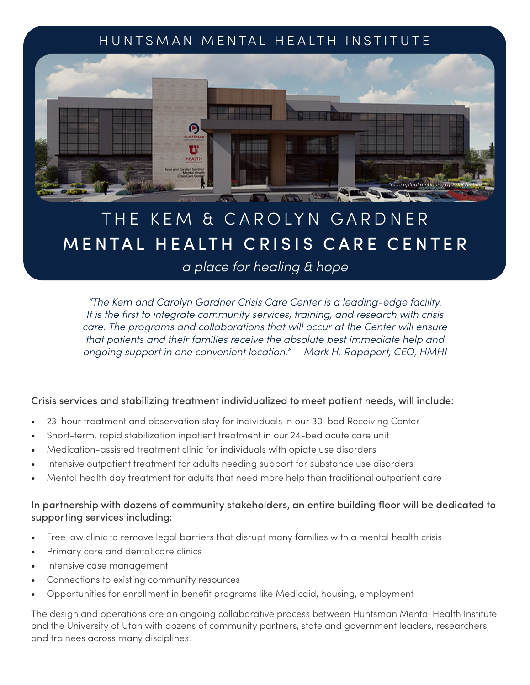# HUNTSMAN MENTAL HEALTH INSTITUTE



# THE KEM & CAROLYN GARDNER MENTAL HEALTH CRISIS CARE CENTER

## *a place for healing & hope*

*"The Kem and Carolyn Gardner Crisis Care Center is a leading-edge facility. It is the first to integrate community services, training, and research with crisis care. The programs and collaborations that will occur at the Center will ensure that patients and their families receive the absolute best immediate help and ongoing support in one convenient location." - Mark H. Rapaport, CEO, HMHI* 

#### Crisis services and stabilizing treatment individualized to meet patient needs, will include:

- 23-hour treatment and observation stay for individuals in our 30-bed Receiving Center
- Short-term, rapid stabilization inpatient treatment in our 24-bed acute care unit
- Medication-assisted treatment clinic for individuals with opiate use disorders
- Intensive outpatient treatment for adults needing support for substance use disorders
- Mental health day treatment for adults that need more help than traditional outpatient care

### In partnership with dozens of community stakeholders, an entire building floor will be dedicated to supporting services including:

- Free law clinic to remove legal barriers that disrupt many families with a mental health crisis
- Primary care and dental care clinics
- Intensive case management
- Connections to existing community resources
- Opportunities for enrollment in benefit programs like Medicaid, housing, employment

The design and operations are an ongoing collaborative process between Huntsman Mental Health Institute and the University of Utah with dozens of community partners, state and government leaders, researchers, and trainees across many disciplines.